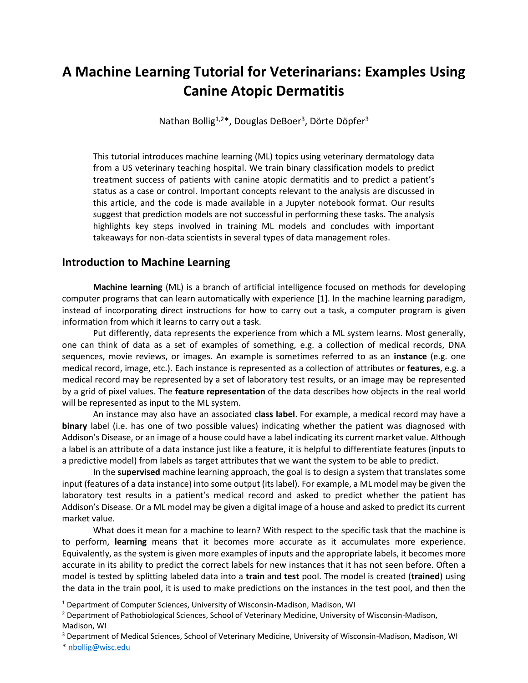# **A Machine Learning Tutorial for Veterinarians: Examples Using Canine Atopic Dermatitis**

Nathan Bollig<sup>1,2\*</sup>, Douglas DeBoer<sup>3</sup>, Dörte Döpfer<sup>3</sup>

This tutorial introduces machine learning (ML) topics using veterinary dermatology data from a US veterinary teaching hospital. We train binary classification models to predict treatment success of patients with canine atopic dermatitis and to predict a patient's status as a case or control. Important concepts relevant to the analysis are discussed in this article, and the code is made available in a Jupyter notebook format. Our results suggest that prediction models are not successful in performing these tasks. The analysis highlights key steps involved in training ML models and concludes with important takeaways for non-data scientists in several types of data management roles.

### **Introduction to Machine Learning**

**Machine learning** (ML) is a branch of artificial intelligence focused on methods for developing computer programs that can learn automatically with experience [1]. In the machine learning paradigm, instead of incorporating direct instructions for how to carry out a task, a computer program is given information from which it learns to carry out a task.

Put differently, data represents the experience from which a ML system learns. Most generally, one can think of data as a set of examples of something, e.g. a collection of medical records, DNA sequences, movie reviews, or images. An example is sometimes referred to as an **instance** (e.g. one medical record, image, etc.). Each instance is represented as a collection of attributes or **features**, e.g. a medical record may be represented by a set of laboratory test results, or an image may be represented by a grid of pixel values. The **feature representation** of the data describes how objects in the real world will be represented as input to the ML system.

An instance may also have an associated **class label**. For example, a medical record may have a **binary** label (i.e. has one of two possible values) indicating whether the patient was diagnosed with Addison's Disease, or an image of a house could have a label indicating its current market value. Although a label is an attribute of a data instance just like a feature, it is helpful to differentiate features (inputs to a predictive model) from labels as target attributes that we want the system to be able to predict.

In the **supervised** machine learning approach, the goal is to design a system that translates some input (features of a data instance) into some output (its label). For example, a ML model may be given the laboratory test results in a patient's medical record and asked to predict whether the patient has Addison's Disease. Or a ML model may be given a digital image of a house and asked to predict its current market value.

What does it mean for a machine to learn? With respect to the specific task that the machine is to perform, **learning** means that it becomes more accurate as it accumulates more experience. Equivalently, as the system is given more examples of inputs and the appropriate labels, it becomes more accurate in its ability to predict the correct labels for new instances that it has not seen before. Often a model is tested by splitting labeled data into a **train** and **test** pool. The model is created (**trained**) using the data in the train pool, it is used to make predictions on the instances in the test pool, and then the

<sup>1</sup> Department of Computer Sciences, University of Wisconsin-Madison, Madison, WI

<sup>2</sup> Department of Pathobiological Sciences, School of Veterinary Medicine, University of Wisconsin-Madison, Madison, WI

<sup>3</sup> Department of Medical Sciences, School of Veterinary Medicine, University of Wisconsin-Madison, Madison, WI

\* [nbollig@wisc.edu](mailto:nbollig@wisc.edu)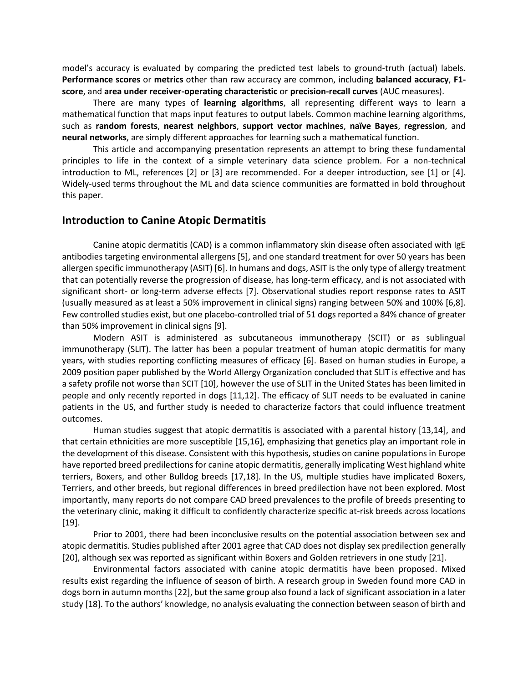model's accuracy is evaluated by comparing the predicted test labels to ground-truth (actual) labels. **Performance scores** or **metrics** other than raw accuracy are common, including **balanced accuracy**, **F1 score**, and **area under receiver-operating characteristic** or **precision-recall curves** (AUC measures).

There are many types of **learning algorithms**, all representing different ways to learn a mathematical function that maps input features to output labels. Common machine learning algorithms, such as **random forests**, **nearest neighbors**, **support vector machines**, **naïve Bayes**, **regression**, and **neural networks**, are simply different approaches for learning such a mathematical function.

This article and accompanying presentation represents an attempt to bring these fundamental principles to life in the context of a simple veterinary data science problem. For a non-technical introduction to ML, references [2] or [3] are recommended. For a deeper introduction, see [1] or [4]. Widely-used terms throughout the ML and data science communities are formatted in bold throughout this paper.

#### **Introduction to Canine Atopic Dermatitis**

Canine atopic dermatitis (CAD) is a common inflammatory skin disease often associated with IgE antibodies targeting environmental allergens [5], and one standard treatment for over 50 years has been allergen specific immunotherapy (ASIT) [6]. In humans and dogs, ASIT is the only type of allergy treatment that can potentially reverse the progression of disease, has long-term efficacy, and is not associated with significant short- or long-term adverse effects [7]. Observational studies report response rates to ASIT (usually measured as at least a 50% improvement in clinical signs) ranging between 50% and 100% [6,8]. Few controlled studies exist, but one placebo-controlled trial of 51 dogs reported a 84% chance of greater than 50% improvement in clinical signs [9].

Modern ASIT is administered as subcutaneous immunotherapy (SCIT) or as sublingual immunotherapy (SLIT). The latter has been a popular treatment of human atopic dermatitis for many years, with studies reporting conflicting measures of efficacy [6]. Based on human studies in Europe, a 2009 position paper published by the World Allergy Organization concluded that SLIT is effective and has a safety profile not worse than SCIT [10], however the use of SLIT in the United States has been limited in people and only recently reported in dogs [11,12]. The efficacy of SLIT needs to be evaluated in canine patients in the US, and further study is needed to characterize factors that could influence treatment outcomes.

Human studies suggest that atopic dermatitis is associated with a parental history [13,14], and that certain ethnicities are more susceptible [15,16], emphasizing that genetics play an important role in the development of this disease. Consistent with this hypothesis, studies on canine populations in Europe have reported breed predilections for canine atopic dermatitis, generally implicating West highland white terriers, Boxers, and other Bulldog breeds [17,18]. In the US, multiple studies have implicated Boxers, Terriers, and other breeds, but regional differences in breed predilection have not been explored. Most importantly, many reports do not compare CAD breed prevalences to the profile of breeds presenting to the veterinary clinic, making it difficult to confidently characterize specific at-risk breeds across locations [19].

Prior to 2001, there had been inconclusive results on the potential association between sex and atopic dermatitis. Studies published after 2001 agree that CAD does not display sex predilection generally [20], although sex was reported as significant within Boxers and Golden retrievers in one study [21].

Environmental factors associated with canine atopic dermatitis have been proposed. Mixed results exist regarding the influence of season of birth. A research group in Sweden found more CAD in dogs born in autumn months [22], but the same group also found a lack of significant association in a later study [18]. To the authors' knowledge, no analysis evaluating the connection between season of birth and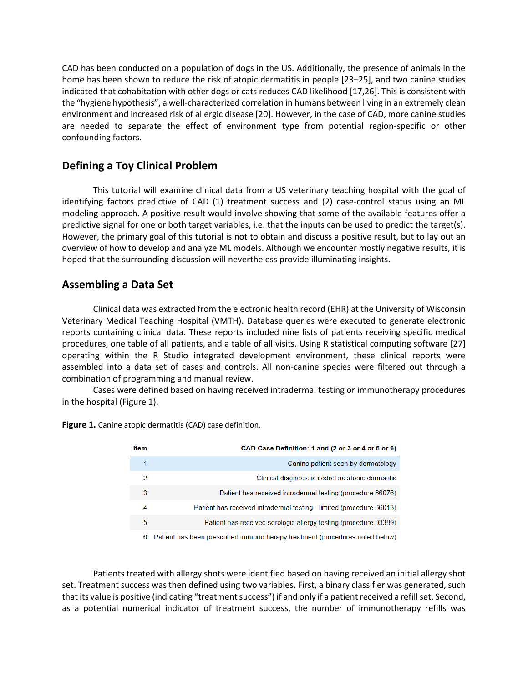CAD has been conducted on a population of dogs in the US. Additionally, the presence of animals in the home has been shown to reduce the risk of atopic dermatitis in people [23–25], and two canine studies indicated that cohabitation with other dogs or cats reduces CAD likelihood [17,26]. This is consistent with the "hygiene hypothesis", a well-characterized correlation in humans between living in an extremely clean environment and increased risk of allergic disease [20]. However, in the case of CAD, more canine studies are needed to separate the effect of environment type from potential region-specific or other confounding factors.

# **Defining a Toy Clinical Problem**

This tutorial will examine clinical data from a US veterinary teaching hospital with the goal of identifying factors predictive of CAD (1) treatment success and (2) case-control status using an ML modeling approach. A positive result would involve showing that some of the available features offer a predictive signal for one or both target variables, i.e. that the inputs can be used to predict the target(s). However, the primary goal of this tutorial is not to obtain and discuss a positive result, but to lay out an overview of how to develop and analyze ML models. Although we encounter mostly negative results, it is hoped that the surrounding discussion will nevertheless provide illuminating insights.

# **Assembling a Data Set**

Clinical data was extracted from the electronic health record (EHR) at the University of Wisconsin Veterinary Medical Teaching Hospital (VMTH). Database queries were executed to generate electronic reports containing clinical data. These reports included nine lists of patients receiving specific medical procedures, one table of all patients, and a table of all visits. Using R statistical computing software [27] operating within the R Studio integrated development environment, these clinical reports were assembled into a data set of cases and controls. All non-canine species were filtered out through a combination of programming and manual review.

Cases were defined based on having received intradermal testing or immunotherapy procedures in the hospital (Figure 1).

| item | CAD Case Definition: 1 and (2 or 3 or 4 or 5 or 6)                           |
|------|------------------------------------------------------------------------------|
| 1    | Canine patient seen by dermatology                                           |
| 2    | Clinical diagnosis is coded as atopic dermatitis                             |
| 3    | Patient has received intradermal testing (procedure 66076)                   |
| 4    | Patient has received intradermal testing - limited (procedure 66013)         |
| 5    | Patient has received serologic allergy testing (procedure 03389)             |
| 6    | Patient has been prescribed immunotherapy treatment (procedures noted below) |

**Figure 1.** Canine atopic dermatitis (CAD) case definition.

Patients treated with allergy shots were identified based on having received an initial allergy shot set. Treatment success was then defined using two variables. First, a binary classifier was generated, such that its value is positive (indicating "treatment success") if and only if a patient received a refill set. Second, as a potential numerical indicator of treatment success, the number of immunotherapy refills was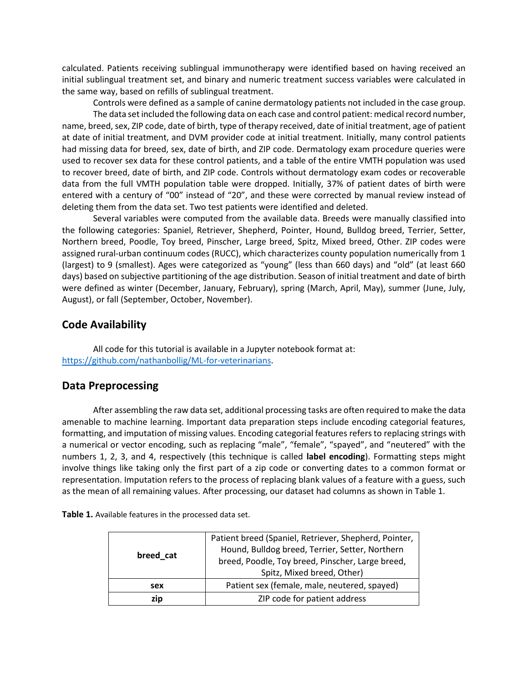calculated. Patients receiving sublingual immunotherapy were identified based on having received an initial sublingual treatment set, and binary and numeric treatment success variables were calculated in the same way, based on refills of sublingual treatment.

Controls were defined as a sample of canine dermatology patients not included in the case group. The data set included the following data on each case and control patient: medical record number, name, breed, sex, ZIP code, date of birth, type of therapy received, date of initial treatment, age of patient at date of initial treatment, and DVM provider code at initial treatment. Initially, many control patients had missing data for breed, sex, date of birth, and ZIP code. Dermatology exam procedure queries were used to recover sex data for these control patients, and a table of the entire VMTH population was used to recover breed, date of birth, and ZIP code. Controls without dermatology exam codes or recoverable data from the full VMTH population table were dropped. Initially, 37% of patient dates of birth were entered with a century of "00" instead of "20", and these were corrected by manual review instead of deleting them from the data set. Two test patients were identified and deleted.

Several variables were computed from the available data. Breeds were manually classified into the following categories: Spaniel, Retriever, Shepherd, Pointer, Hound, Bulldog breed, Terrier, Setter, Northern breed, Poodle, Toy breed, Pinscher, Large breed, Spitz, Mixed breed, Other. ZIP codes were assigned rural-urban continuum codes (RUCC), which characterizes county population numerically from 1 (largest) to 9 (smallest). Ages were categorized as "young" (less than 660 days) and "old" (at least 660 days) based on subjective partitioning of the age distribution. Season of initial treatment and date of birth were defined as winter (December, January, February), spring (March, April, May), summer (June, July, August), or fall (September, October, November).

# **Code Availability**

All code for this tutorial is available in a Jupyter notebook format at: [https://github.com/nathanbollig/ML-for-veterinarians.](https://github.com/nathanbollig/ML-for-veterinarians)

# **Data Preprocessing**

After assembling the raw data set, additional processing tasks are often required to make the data amenable to machine learning. Important data preparation steps include encoding categorial features, formatting, and imputation of missing values. Encoding categorial features refers to replacing strings with a numerical or vector encoding, such as replacing "male", "female", "spayed", and "neutered" with the numbers 1, 2, 3, and 4, respectively (this technique is called **label encoding**). Formatting steps might involve things like taking only the first part of a zip code or converting dates to a common format or representation. Imputation refers to the process of replacing blank values of a feature with a guess, such as the mean of all remaining values. After processing, our dataset had columns as shown in Table 1.

| Table 1. Available features in the processed data set. |  |
|--------------------------------------------------------|--|
|--------------------------------------------------------|--|

| breed cat | Patient breed (Spaniel, Retriever, Shepherd, Pointer,<br>Hound, Bulldog breed, Terrier, Setter, Northern<br>breed, Poodle, Toy breed, Pinscher, Large breed,<br>Spitz, Mixed breed, Other) |  |
|-----------|--------------------------------------------------------------------------------------------------------------------------------------------------------------------------------------------|--|
| sex       | Patient sex (female, male, neutered, spayed)                                                                                                                                               |  |
| zip       | ZIP code for patient address                                                                                                                                                               |  |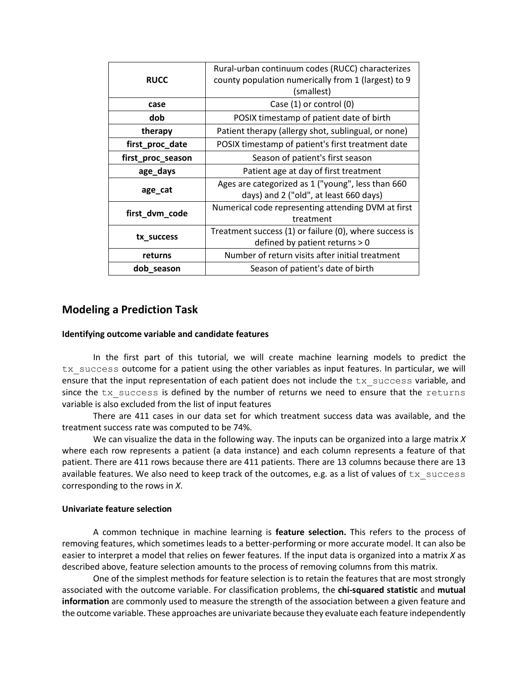|                   | Rural-urban continuum codes (RUCC) characterizes       |  |  |
|-------------------|--------------------------------------------------------|--|--|
| <b>RUCC</b>       | county population numerically from 1 (largest) to 9    |  |  |
|                   | (smallest)                                             |  |  |
| case              | Case (1) or control (0)                                |  |  |
| dob               | POSIX timestamp of patient date of birth               |  |  |
| therapy           | Patient therapy (allergy shot, sublingual, or none)    |  |  |
| first_proc_date   | POSIX timestamp of patient's first treatment date      |  |  |
| first_proc_season | Season of patient's first season                       |  |  |
| age_days          | Patient age at day of first treatment                  |  |  |
|                   | Ages are categorized as 1 ("young", less than 660      |  |  |
| age_cat           | days) and 2 ("old", at least 660 days)                 |  |  |
| first_dvm_code    | Numerical code representing attending DVM at first     |  |  |
|                   | treatment                                              |  |  |
|                   | Treatment success (1) or failure (0), where success is |  |  |
| tx_success        | defined by patient returns > 0                         |  |  |
| returns           | Number of return visits after initial treatment        |  |  |
| dob_season        | Season of patient's date of birth                      |  |  |

# **Modeling a Prediction Task**

#### **Identifying outcome variable and candidate features**

In the first part of this tutorial, we will create machine learning models to predict the tx success outcome for a patient using the other variables as input features. In particular, we will ensure that the input representation of each patient does not include the tx success variable, and since the tx success is defined by the number of returns we need to ensure that the returns variable is also excluded from the list of input features

There are 411 cases in our data set for which treatment success data was available, and the treatment success rate was computed to be 74%.

We can visualize the data in the following way. The inputs can be organized into a large matrix *X*  where each row represents a patient (a data instance) and each column represents a feature of that patient. There are 411 rows because there are 411 patients. There are 13 columns because there are 13 available features. We also need to keep track of the outcomes, e.g. as a list of values of  $tx\_success$ corresponding to the rows in *X*.

#### **Univariate feature selection**

A common technique in machine learning is **feature selection.** This refers to the process of removing features, which sometimes leads to a better-performing or more accurate model. It can also be easier to interpret a model that relies on fewer features. If the input data is organized into a matrix *X* as described above, feature selection amounts to the process of removing columns from this matrix.

One of the simplest methods for feature selection is to retain the features that are most strongly associated with the outcome variable. For classification problems, the **chi-squared statistic** and **mutual information** are commonly used to measure the strength of the association between a given feature and the outcome variable. These approaches are univariate because they evaluate each feature independently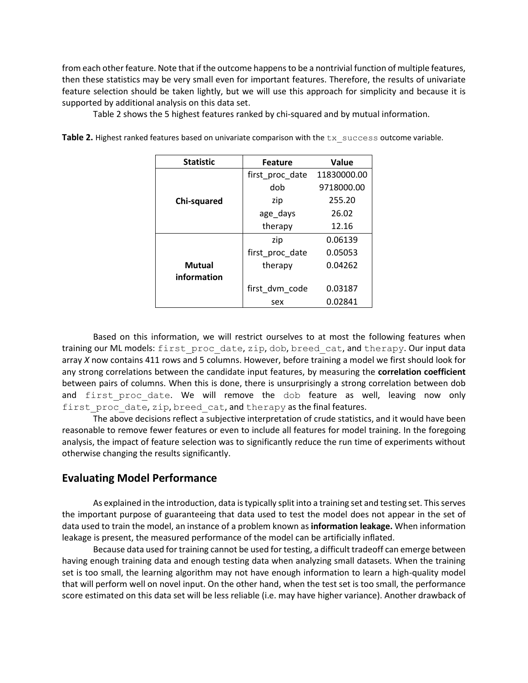from each other feature. Note that if the outcome happens to be a nontrivial function of multiple features, then these statistics may be very small even for important features. Therefore, the results of univariate feature selection should be taken lightly, but we will use this approach for simplicity and because it is supported by additional analysis on this data set.

Table 2 shows the 5 highest features ranked by chi-squared and by mutual information.

| <b>Statistic</b> | <b>Feature</b>  | Value       |
|------------------|-----------------|-------------|
|                  | first proc date | 11830000.00 |
|                  | dob             | 9718000.00  |
| Chi-squared      | zip             | 255.20      |
|                  | age_days        | 26.02       |
|                  | therapy         | 12.16       |
|                  | zip             | 0.06139     |
|                  | first proc date | 0.05053     |
| <b>Mutual</b>    | therapy         | 0.04262     |
| information      |                 |             |
|                  | first_dvm_code  | 0.03187     |
|                  | sex             | 0.02841     |

Table 2. Highest ranked features based on univariate comparison with the tx success outcome variable.

Based on this information, we will restrict ourselves to at most the following features when training our ML models: first proc date, zip, dob, breed cat, and therapy. Our input data array *X* now contains 411 rows and 5 columns. However, before training a model we first should look for any strong correlations between the candidate input features, by measuring the **correlation coefficient**  between pairs of columns. When this is done, there is unsurprisingly a strong correlation between dob and first proc date. We will remove the dob feature as well, leaving now only first proc date, zip, breed cat, and therapy as the final features.

The above decisions reflect a subjective interpretation of crude statistics, and it would have been reasonable to remove fewer features or even to include all features for model training. In the foregoing analysis, the impact of feature selection was to significantly reduce the run time of experiments without otherwise changing the results significantly.

# **Evaluating Model Performance**

As explained in the introduction, data is typically split into a training set and testing set. This serves the important purpose of guaranteeing that data used to test the model does not appear in the set of data used to train the model, an instance of a problem known as **information leakage.** When information leakage is present, the measured performance of the model can be artificially inflated.

Because data used for training cannot be used for testing, a difficult tradeoff can emerge between having enough training data and enough testing data when analyzing small datasets. When the training set is too small, the learning algorithm may not have enough information to learn a high-quality model that will perform well on novel input. On the other hand, when the test set is too small, the performance score estimated on this data set will be less reliable (i.e. may have higher variance). Another drawback of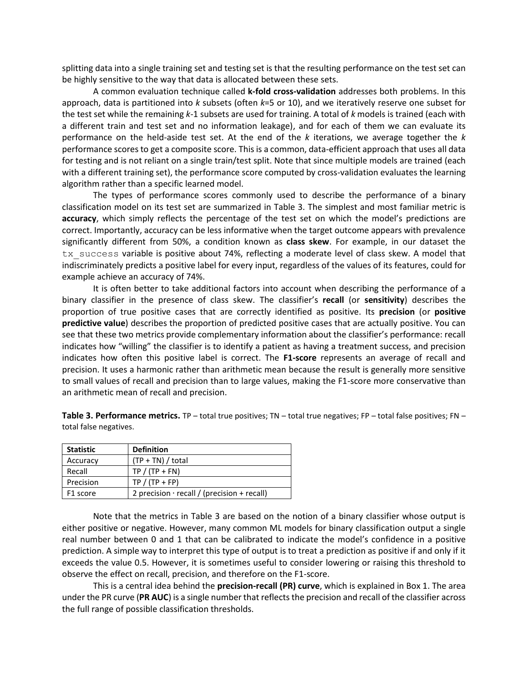splitting data into a single training set and testing set is that the resulting performance on the test set can be highly sensitive to the way that data is allocated between these sets.

A common evaluation technique called **k-fold cross-validation** addresses both problems. In this approach, data is partitioned into *k* subsets (often *k*=5 or 10), and we iteratively reserve one subset for the test set while the remaining *k-*1 subsets are used for training. A total of *k* models is trained (each with a different train and test set and no information leakage), and for each of them we can evaluate its performance on the held-aside test set. At the end of the *k* iterations, we average together the *k*  performance scores to get a composite score. This is a common, data-efficient approach that uses all data for testing and is not reliant on a single train/test split. Note that since multiple models are trained (each with a different training set), the performance score computed by cross-validation evaluates the learning algorithm rather than a specific learned model.

The types of performance scores commonly used to describe the performance of a binary classification model on its test set are summarized in Table 3. The simplest and most familiar metric is **accuracy**, which simply reflects the percentage of the test set on which the model's predictions are correct. Importantly, accuracy can be less informative when the target outcome appears with prevalence significantly different from 50%, a condition known as **class skew**. For example, in our dataset the tx success variable is positive about 74%, reflecting a moderate level of class skew. A model that indiscriminately predicts a positive label for every input, regardless of the values of its features, could for example achieve an accuracy of 74%.

It is often better to take additional factors into account when describing the performance of a binary classifier in the presence of class skew. The classifier's **recall** (or **sensitivity**) describes the proportion of true positive cases that are correctly identified as positive. Its **precision** (or **positive predictive value**) describes the proportion of predicted positive cases that are actually positive. You can see that these two metrics provide complementary information about the classifier's performance: recall indicates how "willing" the classifier is to identify a patient as having a treatment success, and precision indicates how often this positive label is correct. The **F1-score** represents an average of recall and precision. It uses a harmonic rather than arithmetic mean because the result is generally more sensitive to small values of recall and precision than to large values, making the F1-score more conservative than an arithmetic mean of recall and precision.

**Table 3. Performance metrics.** TP – total true positives; TN – total true negatives; FP – total false positives; FN – total false negatives.

| <b>Statistic</b> | <b>Definition</b>                                 |
|------------------|---------------------------------------------------|
| Accuracy         | $(TP + TN) / total$                               |
| Recall           | $TP / (TP + FN)$                                  |
| Precision        | $TP / (TP + FP)$                                  |
| F1 score         | 2 precision $\cdot$ recall / (precision + recall) |

Note that the metrics in Table 3 are based on the notion of a binary classifier whose output is either positive or negative. However, many common ML models for binary classification output a single real number between 0 and 1 that can be calibrated to indicate the model's confidence in a positive prediction. A simple way to interpret this type of output is to treat a prediction as positive if and only if it exceeds the value 0.5. However, it is sometimes useful to consider lowering or raising this threshold to observe the effect on recall, precision, and therefore on the F1-score.

This is a central idea behind the **precision-recall (PR) curve**, which is explained in Box 1. The area under the PR curve (**PR AUC**) is a single number that reflects the precision and recall of the classifier across the full range of possible classification thresholds.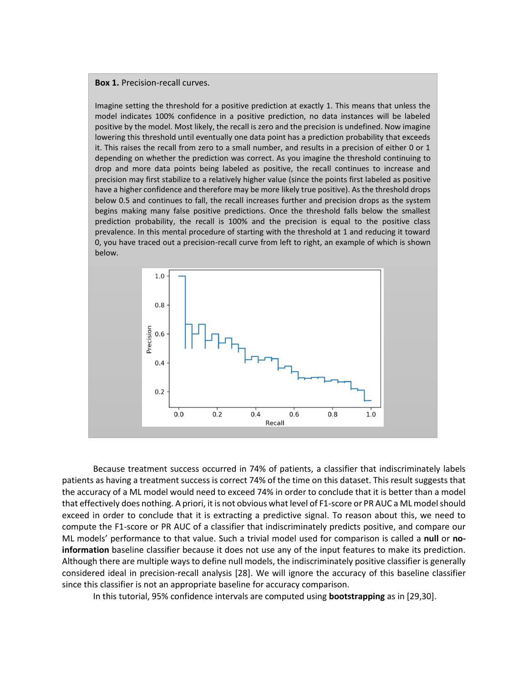#### **Box 1.** Precision-recall curves.

Imagine setting the threshold for a positive prediction at exactly 1. This means that unless the model indicates 100% confidence in a positive prediction, no data instances will be labeled positive by the model. Most likely, the recall is zero and the precision is undefined. Now imagine lowering this threshold until eventually one data point has a prediction probability that exceeds it. This raises the recall from zero to a small number, and results in a precision of either 0 or 1 depending on whether the prediction was correct. As you imagine the threshold continuing to drop and more data points being labeled as positive, the recall continues to increase and precision may first stabilize to a relatively higher value (since the points first labeled as positive have a higher confidence and therefore may be more likely true positive). As the threshold drops below 0.5 and continues to fall, the recall increases further and precision drops as the system begins making many false positive predictions. Once the threshold falls below the smallest prediction probability, the recall is 100% and the precision is equal to the positive class prevalence. In this mental procedure of starting with the threshold at 1 and reducing it toward 0, you have traced out a precision-recall curve from left to right, an example of which is shown below.



Because treatment success occurred in 74% of patients, a classifier that indiscriminately labels patients as having a treatment success is correct 74% of the time on this dataset. This result suggests that the accuracy of a ML model would need to exceed 74% in order to conclude that it is better than a model that effectively does nothing. A priori, it is not obvious what level of F1-score or PR AUC a ML model should exceed in order to conclude that it is extracting a predictive signal. To reason about this, we need to compute the F1-score or PR AUC of a classifier that indiscriminately predicts positive, and compare our ML models' performance to that value. Such a trivial model used for comparison is called a **null** or **noinformation** baseline classifier because it does not use any of the input features to make its prediction. Although there are multiple ways to define null models, the indiscriminately positive classifier is generally considered ideal in precision-recall analysis [28]. We will ignore the accuracy of this baseline classifier since this classifier is not an appropriate baseline for accuracy comparison.

In this tutorial, 95% confidence intervals are computed using **bootstrapping** as in [29,30].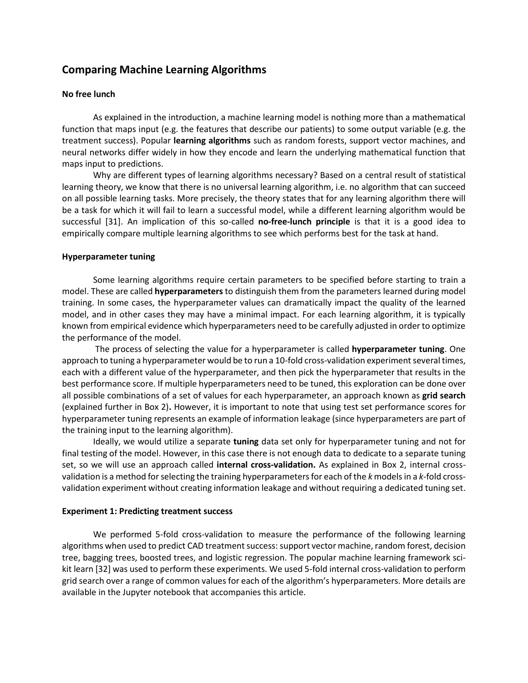# **Comparing Machine Learning Algorithms**

#### **No free lunch**

As explained in the introduction, a machine learning model is nothing more than a mathematical function that maps input (e.g. the features that describe our patients) to some output variable (e.g. the treatment success). Popular **learning algorithms** such as random forests, support vector machines, and neural networks differ widely in how they encode and learn the underlying mathematical function that maps input to predictions.

Why are different types of learning algorithms necessary? Based on a central result of statistical learning theory, we know that there is no universal learning algorithm, i.e. no algorithm that can succeed on all possible learning tasks. More precisely, the theory states that for any learning algorithm there will be a task for which it will fail to learn a successful model, while a different learning algorithm would be successful [31]. An implication of this so-called **no-free-lunch principle** is that it is a good idea to empirically compare multiple learning algorithms to see which performs best for the task at hand.

#### **Hyperparameter tuning**

Some learning algorithms require certain parameters to be specified before starting to train a model. These are called **hyperparameters** to distinguish them from the parameters learned during model training. In some cases, the hyperparameter values can dramatically impact the quality of the learned model, and in other cases they may have a minimal impact. For each learning algorithm, it is typically known from empirical evidence which hyperparameters need to be carefully adjusted in order to optimize the performance of the model.

The process of selecting the value for a hyperparameter is called **hyperparameter tuning**. One approach to tuning a hyperparameter would be to run a 10-fold cross-validation experiment several times, each with a different value of the hyperparameter, and then pick the hyperparameter that results in the best performance score. If multiple hyperparameters need to be tuned, this exploration can be done over all possible combinations of a set of values for each hyperparameter, an approach known as **grid search** (explained further in Box 2)**.** However, it is important to note that using test set performance scores for hyperparameter tuning represents an example of information leakage (since hyperparameters are part of the training input to the learning algorithm).

Ideally, we would utilize a separate **tuning** data set only for hyperparameter tuning and not for final testing of the model. However, in this case there is not enough data to dedicate to a separate tuning set, so we will use an approach called **internal cross-validation.** As explained in Box 2, internal crossvalidation is a method for selecting the training hyperparameters for each of the *k* models in a *k*-fold crossvalidation experiment without creating information leakage and without requiring a dedicated tuning set.

#### **Experiment 1: Predicting treatment success**

We performed 5-fold cross-validation to measure the performance of the following learning algorithms when used to predict CAD treatment success: support vector machine, random forest, decision tree, bagging trees, boosted trees, and logistic regression. The popular machine learning framework scikit learn [32] was used to perform these experiments. We used 5-fold internal cross-validation to perform grid search over a range of common values for each of the algorithm's hyperparameters. More details are available in the Jupyter notebook that accompanies this article.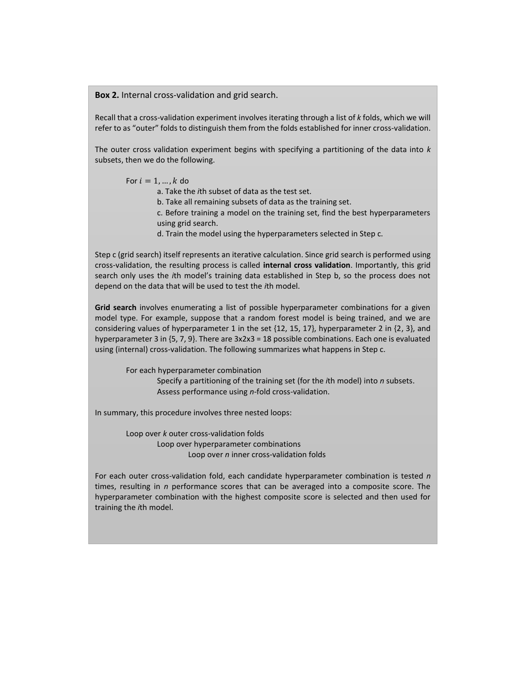**Box 2.** Internal cross-validation and grid search.

Recall that a cross-validation experiment involves iterating through a list of *k* folds, which we will refer to as "outer" folds to distinguish them from the folds established for inner cross-validation.

The outer cross validation experiment begins with specifying a partitioning of the data into *k* subsets, then we do the following.

#### For  $i = 1, ..., k$  do

a. Take the *i*th subset of data as the test set.

b. Take all remaining subsets of data as the training set.

c. Before training a model on the training set, find the best hyperparameters using grid search.

d. Train the model using the hyperparameters selected in Step c.

Step c (grid search) itself represents an iterative calculation. Since grid search is performed using cross-validation, the resulting process is called **internal cross validation**. Importantly, this grid search only uses the *i*th model's training data established in Step b, so the process does not depend on the data that will be used to test the *i*th model.

**Grid search** involves enumerating a list of possible hyperparameter combinations for a given model type. For example, suppose that a random forest model is being trained, and we are considering values of hyperparameter 1 in the set  $\{12, 15, 17\}$ , hyperparameter 2 in  $\{2, 3\}$ , and hyperparameter 3 in {5, 7, 9}. There are 3x2x3 = 18 possible combinations. Each one is evaluated using (internal) cross-validation. The following summarizes what happens in Step c.

For each hyperparameter combination Specify a partitioning of the training set (for the *i*th model) into *n* subsets. Assess performance using *n*-fold cross-validation.

In summary, this procedure involves three nested loops:

Loop over *k* outer cross-validation folds Loop over hyperparameter combinations Loop over *n* inner cross-validation folds

For each outer cross-validation fold, each candidate hyperparameter combination is tested *n* times, resulting in *n* performance scores that can be averaged into a composite score. The hyperparameter combination with the highest composite score is selected and then used for training the *i*th model.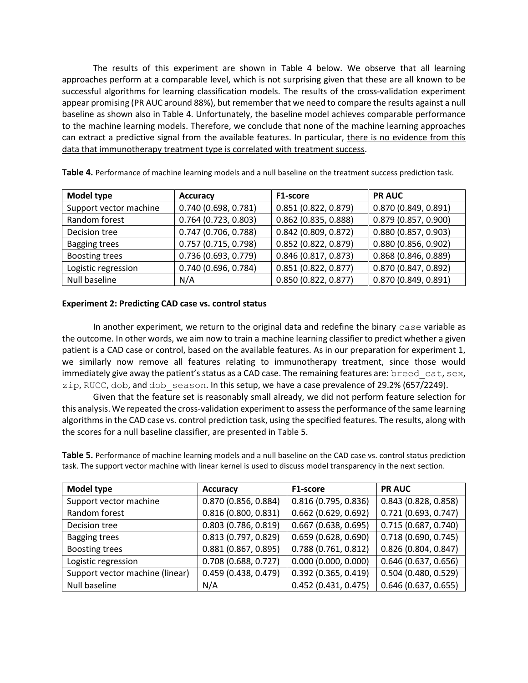The results of this experiment are shown in Table 4 below. We observe that all learning approaches perform at a comparable level, which is not surprising given that these are all known to be successful algorithms for learning classification models. The results of the cross-validation experiment appear promising (PR AUC around 88%), but remember that we need to compare the results against a null baseline as shown also in Table 4. Unfortunately, the baseline model achieves comparable performance to the machine learning models. Therefore, we conclude that none of the machine learning approaches can extract a predictive signal from the available features. In particular, there is no evidence from this data that immunotherapy treatment type is correlated with treatment success.

| Model type             | <b>Accuracy</b>        | F1-score               | <b>PR AUC</b>          |
|------------------------|------------------------|------------------------|------------------------|
| Support vector machine | 0.740(0.698, 0.781)    | 0.851(0.822, 0.879)    | 0.870(0.849, 0.891)    |
| Random forest          | $0.764$ (0.723, 0.803) | $0.862$ (0.835, 0.888) | 0.879(0.857, 0.900)    |
| Decision tree          | 0.747(0.706, 0.788)    | $0.842$ (0.809, 0.872) | 0.880(0.857, 0.903)    |
| <b>Bagging trees</b>   | 0.757(0.715, 0.798)    | 0.852(0.822, 0.879)    | 0.880(0.856, 0.902)    |
| <b>Boosting trees</b>  | 0.736(0.693, 0.779)    | 0.846(0.817, 0.873)    | $0.868$ (0.846, 0.889) |
| Logistic regression    | 0.740(0.696, 0.784)    | 0.851(0.822, 0.877)    | 0.870(0.847, 0.892)    |
| Null baseline          | N/A                    | 0.850(0.822, 0.877)    | 0.870(0.849, 0.891)    |

**Table 4.** Performance of machine learning models and a null baseline on the treatment success prediction task.

#### **Experiment 2: Predicting CAD case vs. control status**

In another experiment, we return to the original data and redefine the binary case variable as the outcome. In other words, we aim now to train a machine learning classifier to predict whether a given patient is a CAD case or control, based on the available features. As in our preparation for experiment 1, we similarly now remove all features relating to immunotherapy treatment, since those would immediately give away the patient's status as a CAD case. The remaining features are: breed cat, sex, zip, RUCC, dob, and dob season. In this setup, we have a case prevalence of 29.2% (657/2249).

Given that the feature set is reasonably small already, we did not perform feature selection for this analysis. We repeated the cross-validation experiment to assess the performance of the same learning algorithms in the CAD case vs. control prediction task, using the specified features. The results, along with the scores for a null baseline classifier, are presented in Table 5.

**Table 5.** Performance of machine learning models and a null baseline on the CAD case vs. control status prediction task. The support vector machine with linear kernel is used to discuss model transparency in the next section.

| Model type                      | <b>Accuracy</b>        | F1-score               | <b>PR AUC</b>        |
|---------------------------------|------------------------|------------------------|----------------------|
| Support vector machine          | 0.870 (0.856, 0.884)   | 0.816(0.795, 0.836)    | 0.843(0.828, 0.858)  |
| Random forest                   | 0.816(0.800, 0.831)    | $0.662$ (0.629, 0.692) | 0.721(0.693, 0.747)  |
| Decision tree                   | 0.803(0.786, 0.819)    | $0.667$ (0.638, 0.695) | 0.715(0.687, 0.740)  |
| <b>Bagging trees</b>            | 0.813(0.797, 0.829)    | 0.659(0.628, 0.690)    | 0.718(0.690, 0.745)  |
| <b>Boosting trees</b>           | 0.881(0.867, 0.895)    | 0.788(0.761, 0.812)    | 0.826(0.804, 0.847)  |
| Logistic regression             | $0.708$ (0.688, 0.727) | 0.000(0.000, 0.000)    | 0.646(0.637, 0.656)  |
| Support vector machine (linear) | 0.459(0.438, 0.479)    | $0.392$ (0.365, 0.419) | 0.504 (0.480, 0.529) |
| Null baseline                   | N/A                    | 0.452(0.431, 0.475)    | 0.646(0.637, 0.655)  |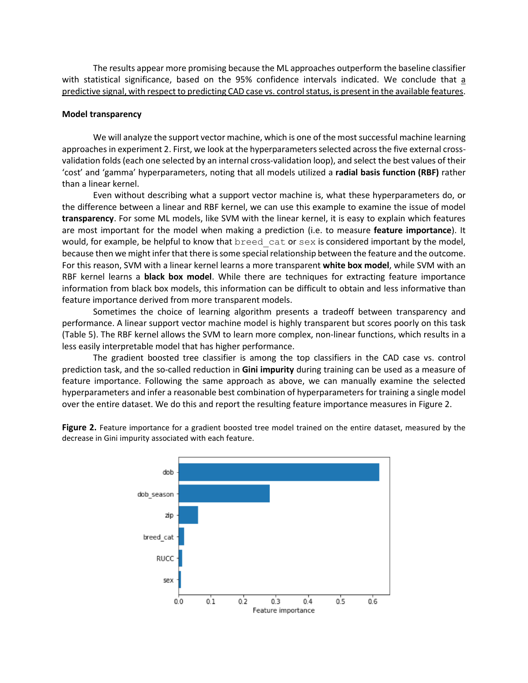The results appear more promising because the ML approaches outperform the baseline classifier with statistical significance, based on the 95% confidence intervals indicated. We conclude that a predictive signal, with respect to predicting CAD case vs. control status, is present in the available features.

#### **Model transparency**

We will analyze the support vector machine, which is one of the most successful machine learning approaches in experiment 2. First, we look at the hyperparameters selected across the five external crossvalidation folds (each one selected by an internal cross-validation loop), and select the best values of their 'cost' and 'gamma' hyperparameters, noting that all models utilized a **radial basis function (RBF)** rather than a linear kernel.

Even without describing what a support vector machine is, what these hyperparameters do, or the difference between a linear and RBF kernel, we can use this example to examine the issue of model **transparency**. For some ML models, like SVM with the linear kernel, it is easy to explain which features are most important for the model when making a prediction (i.e. to measure **feature importance**). It would, for example, be helpful to know that breed cat or sex is considered important by the model, because then we might infer that there is some special relationship between the feature and the outcome. For this reason, SVM with a linear kernel learns a more transparent **white box model**, while SVM with an RBF kernel learns a **black box model**. While there are techniques for extracting feature importance information from black box models, this information can be difficult to obtain and less informative than feature importance derived from more transparent models.

Sometimes the choice of learning algorithm presents a tradeoff between transparency and performance. A linear support vector machine model is highly transparent but scores poorly on this task (Table 5). The RBF kernel allows the SVM to learn more complex, non-linear functions, which results in a less easily interpretable model that has higher performance.

The gradient boosted tree classifier is among the top classifiers in the CAD case vs. control prediction task, and the so-called reduction in **Gini impurity** during training can be used as a measure of feature importance. Following the same approach as above, we can manually examine the selected hyperparameters and infer a reasonable best combination of hyperparameters for training a single model over the entire dataset. We do this and report the resulting feature importance measures in Figure 2.



**Figure 2.** Feature importance for a gradient boosted tree model trained on the entire dataset, measured by the decrease in Gini impurity associated with each feature.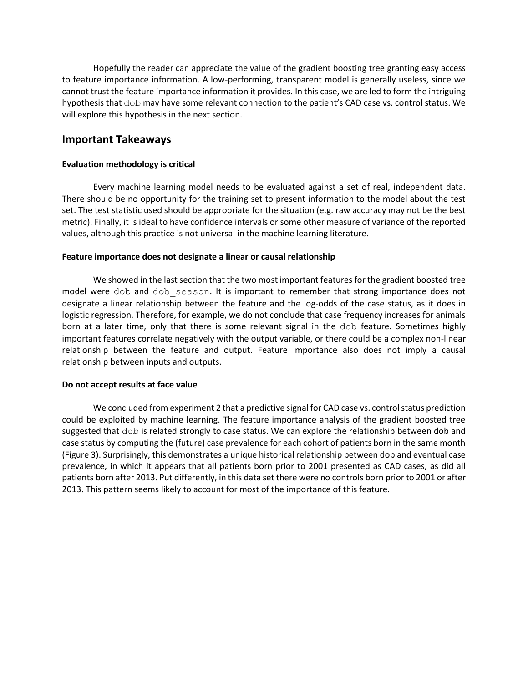Hopefully the reader can appreciate the value of the gradient boosting tree granting easy access to feature importance information. A low-performing, transparent model is generally useless, since we cannot trust the feature importance information it provides. In this case, we are led to form the intriguing hypothesis that dob may have some relevant connection to the patient's CAD case vs. control status. We will explore this hypothesis in the next section.

### **Important Takeaways**

#### **Evaluation methodology is critical**

Every machine learning model needs to be evaluated against a set of real, independent data. There should be no opportunity for the training set to present information to the model about the test set. The test statistic used should be appropriate for the situation (e.g. raw accuracy may not be the best metric). Finally, it is ideal to have confidence intervals or some other measure of variance of the reported values, although this practice is not universal in the machine learning literature.

#### **Feature importance does not designate a linear or causal relationship**

We showed in the last section that the two most important features for the gradient boosted tree model were dob and dob season. It is important to remember that strong importance does not designate a linear relationship between the feature and the log-odds of the case status, as it does in logistic regression. Therefore, for example, we do not conclude that case frequency increases for animals born at a later time, only that there is some relevant signal in the dob feature. Sometimes highly important features correlate negatively with the output variable, or there could be a complex non-linear relationship between the feature and output. Feature importance also does not imply a causal relationship between inputs and outputs.

#### **Do not accept results at face value**

We concluded from experiment 2 that a predictive signal for CAD case vs. control status prediction could be exploited by machine learning. The feature importance analysis of the gradient boosted tree suggested that dob is related strongly to case status. We can explore the relationship between dob and case status by computing the (future) case prevalence for each cohort of patients born in the same month (Figure 3). Surprisingly, this demonstrates a unique historical relationship between dob and eventual case prevalence, in which it appears that all patients born prior to 2001 presented as CAD cases, as did all patients born after 2013. Put differently, in this data set there were no controls born prior to 2001 or after 2013. This pattern seems likely to account for most of the importance of this feature.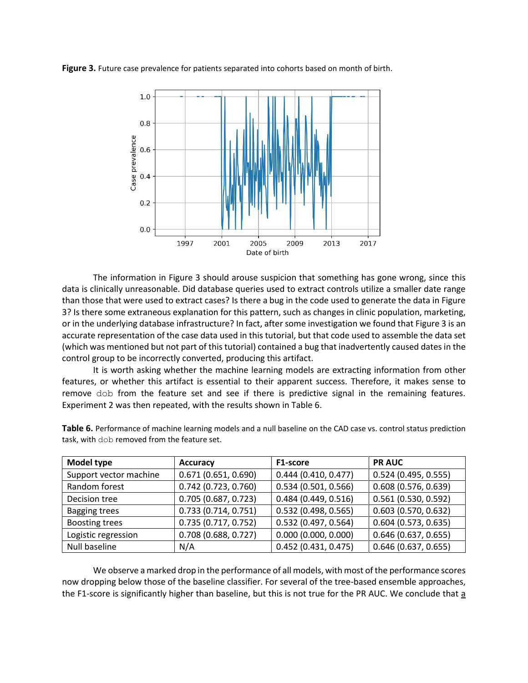**Figure 3.** Future case prevalence for patients separated into cohorts based on month of birth.



The information in Figure 3 should arouse suspicion that something has gone wrong, since this data is clinically unreasonable. Did database queries used to extract controls utilize a smaller date range than those that were used to extract cases? Is there a bug in the code used to generate the data in Figure 3? Is there some extraneous explanation for this pattern, such as changes in clinic population, marketing, or in the underlying database infrastructure? In fact, after some investigation we found that Figure 3 is an accurate representation of the case data used in this tutorial, but that code used to assemble the data set (which was mentioned but not part of this tutorial) contained a bug that inadvertently caused dates in the control group to be incorrectly converted, producing this artifact.

It is worth asking whether the machine learning models are extracting information from other features, or whether this artifact is essential to their apparent success. Therefore, it makes sense to remove dob from the feature set and see if there is predictive signal in the remaining features. Experiment 2 was then repeated, with the results shown in Table 6.

| Model type             | <b>Accuracy</b>        | F1-score            | <b>PR AUC</b>          |
|------------------------|------------------------|---------------------|------------------------|
| Support vector machine | 0.671(0.651, 0.690)    | 0.444(0.410, 0.477) | 0.524(0.495, 0.555)    |
| Random forest          | $0.742$ (0.723, 0.760) | 0.534(0.501, 0.566) | 0.608(0.576, 0.639)    |
| Decision tree          | 0.705 (0.687, 0.723)   | 0.484(0.449, 0.516) | 0.561 (0.530, 0.592)   |
| <b>Bagging trees</b>   | 0.733(0.714, 0.751)    | 0.532(0.498, 0.565) | 0.603(0.570, 0.632)    |
| <b>Boosting trees</b>  | 0.735(0.717, 0.752)    | 0.532(0.497, 0.564) | $0.604$ (0.573, 0.635) |
| Logistic regression    | $0.708$ (0.688, 0.727) | 0.000(0.000, 0.000) | 0.646(0.637, 0.655)    |
| Null baseline          | N/A                    | 0.452(0.431, 0.475) | $0.646$ (0.637, 0.655) |

**Table 6.** Performance of machine learning models and a null baseline on the CAD case vs. control status prediction task, with dob removed from the feature set.

We observe a marked drop in the performance of all models, with most of the performance scores now dropping below those of the baseline classifier. For several of the tree-based ensemble approaches, the F1-score is significantly higher than baseline, but this is not true for the PR AUC. We conclude that a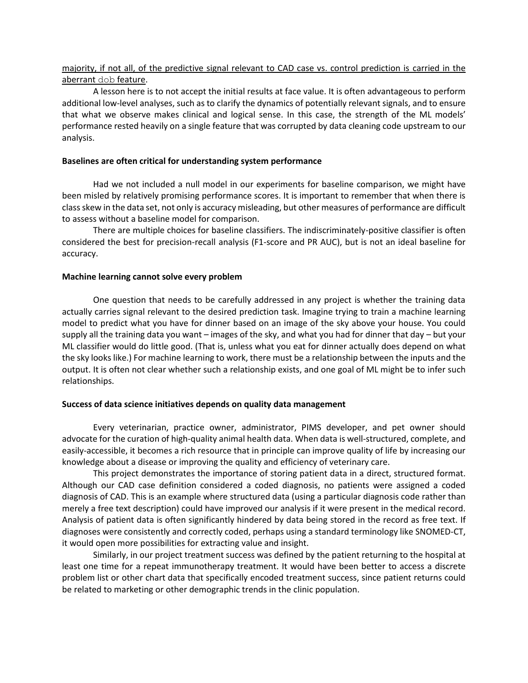### majority, if not all, of the predictive signal relevant to CAD case vs. control prediction is carried in the aberrant dob feature.

A lesson here is to not accept the initial results at face value. It is often advantageous to perform additional low-level analyses, such as to clarify the dynamics of potentially relevant signals, and to ensure that what we observe makes clinical and logical sense. In this case, the strength of the ML models' performance rested heavily on a single feature that was corrupted by data cleaning code upstream to our analysis.

#### **Baselines are often critical for understanding system performance**

Had we not included a null model in our experiments for baseline comparison, we might have been misled by relatively promising performance scores. It is important to remember that when there is class skew in the data set, not only is accuracy misleading, but other measures of performance are difficult to assess without a baseline model for comparison.

There are multiple choices for baseline classifiers. The indiscriminately-positive classifier is often considered the best for precision-recall analysis (F1-score and PR AUC), but is not an ideal baseline for accuracy.

#### **Machine learning cannot solve every problem**

One question that needs to be carefully addressed in any project is whether the training data actually carries signal relevant to the desired prediction task. Imagine trying to train a machine learning model to predict what you have for dinner based on an image of the sky above your house. You could supply all the training data you want – images of the sky, and what you had for dinner that day – but your ML classifier would do little good. (That is, unless what you eat for dinner actually does depend on what the sky looks like.) For machine learning to work, there must be a relationship between the inputs and the output. It is often not clear whether such a relationship exists, and one goal of ML might be to infer such relationships.

#### **Success of data science initiatives depends on quality data management**

Every veterinarian, practice owner, administrator, PIMS developer, and pet owner should advocate for the curation of high-quality animal health data. When data is well-structured, complete, and easily-accessible, it becomes a rich resource that in principle can improve quality of life by increasing our knowledge about a disease or improving the quality and efficiency of veterinary care.

This project demonstrates the importance of storing patient data in a direct, structured format. Although our CAD case definition considered a coded diagnosis, no patients were assigned a coded diagnosis of CAD. This is an example where structured data (using a particular diagnosis code rather than merely a free text description) could have improved our analysis if it were present in the medical record. Analysis of patient data is often significantly hindered by data being stored in the record as free text. If diagnoses were consistently and correctly coded, perhaps using a standard terminology like SNOMED-CT, it would open more possibilities for extracting value and insight.

Similarly, in our project treatment success was defined by the patient returning to the hospital at least one time for a repeat immunotherapy treatment. It would have been better to access a discrete problem list or other chart data that specifically encoded treatment success, since patient returns could be related to marketing or other demographic trends in the clinic population.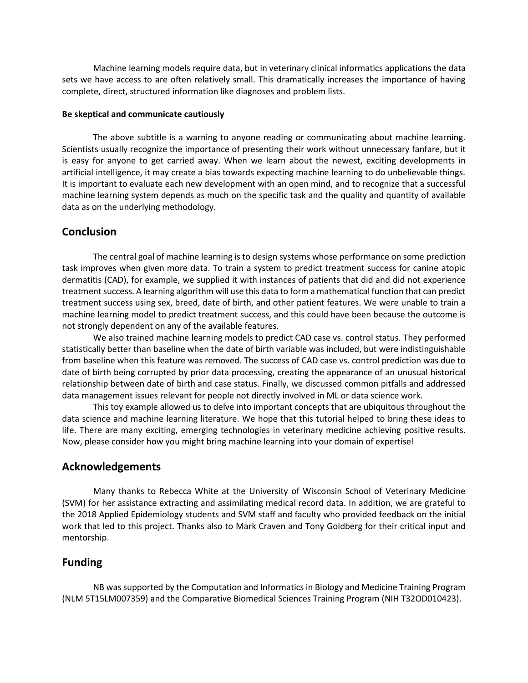Machine learning models require data, but in veterinary clinical informatics applications the data sets we have access to are often relatively small. This dramatically increases the importance of having complete, direct, structured information like diagnoses and problem lists.

#### **Be skeptical and communicate cautiously**

The above subtitle is a warning to anyone reading or communicating about machine learning. Scientists usually recognize the importance of presenting their work without unnecessary fanfare, but it is easy for anyone to get carried away. When we learn about the newest, exciting developments in artificial intelligence, it may create a bias towards expecting machine learning to do unbelievable things. It is important to evaluate each new development with an open mind, and to recognize that a successful machine learning system depends as much on the specific task and the quality and quantity of available data as on the underlying methodology.

### **Conclusion**

The central goal of machine learning is to design systems whose performance on some prediction task improves when given more data. To train a system to predict treatment success for canine atopic dermatitis (CAD), for example, we supplied it with instances of patients that did and did not experience treatment success. A learning algorithm will use this data to form a mathematical function that can predict treatment success using sex, breed, date of birth, and other patient features. We were unable to train a machine learning model to predict treatment success, and this could have been because the outcome is not strongly dependent on any of the available features.

We also trained machine learning models to predict CAD case vs. control status. They performed statistically better than baseline when the date of birth variable was included, but were indistinguishable from baseline when this feature was removed. The success of CAD case vs. control prediction was due to date of birth being corrupted by prior data processing, creating the appearance of an unusual historical relationship between date of birth and case status. Finally, we discussed common pitfalls and addressed data management issues relevant for people not directly involved in ML or data science work.

This toy example allowed us to delve into important concepts that are ubiquitous throughout the data science and machine learning literature. We hope that this tutorial helped to bring these ideas to life. There are many exciting, emerging technologies in veterinary medicine achieving positive results. Now, please consider how you might bring machine learning into your domain of expertise!

### **Acknowledgements**

Many thanks to Rebecca White at the University of Wisconsin School of Veterinary Medicine (SVM) for her assistance extracting and assimilating medical record data. In addition, we are grateful to the 2018 Applied Epidemiology students and SVM staff and faculty who provided feedback on the initial work that led to this project. Thanks also to Mark Craven and Tony Goldberg for their critical input and mentorship.

### **Funding**

NB was supported by the Computation and Informatics in Biology and Medicine Training Program (NLM 5T15LM007359) and the Comparative Biomedical Sciences Training Program (NIH T32OD010423).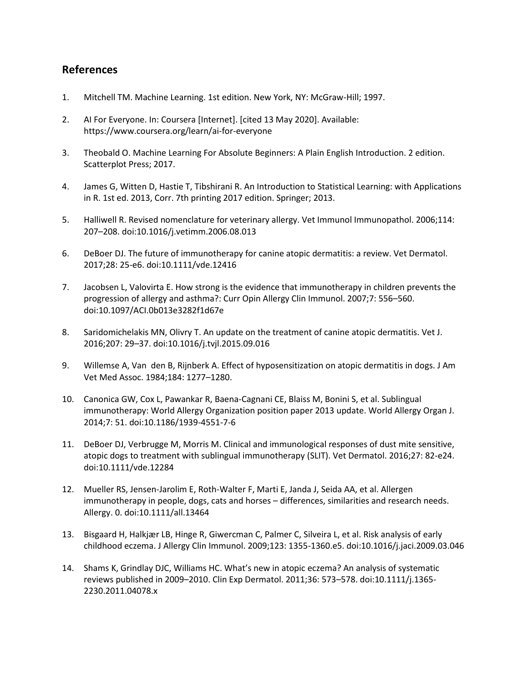# **References**

- 1. Mitchell TM. Machine Learning. 1st edition. New York, NY: McGraw-Hill; 1997.
- 2. AI For Everyone. In: Coursera [Internet]. [cited 13 May 2020]. Available: https://www.coursera.org/learn/ai-for-everyone
- 3. Theobald O. Machine Learning For Absolute Beginners: A Plain English Introduction. 2 edition. Scatterplot Press; 2017.
- 4. James G, Witten D, Hastie T, Tibshirani R. An Introduction to Statistical Learning: with Applications in R. 1st ed. 2013, Corr. 7th printing 2017 edition. Springer; 2013.
- 5. Halliwell R. Revised nomenclature for veterinary allergy. Vet Immunol Immunopathol. 2006;114: 207–208. doi:10.1016/j.vetimm.2006.08.013
- 6. DeBoer DJ. The future of immunotherapy for canine atopic dermatitis: a review. Vet Dermatol. 2017;28: 25-e6. doi:10.1111/vde.12416
- 7. Jacobsen L, Valovirta E. How strong is the evidence that immunotherapy in children prevents the progression of allergy and asthma?: Curr Opin Allergy Clin Immunol. 2007;7: 556–560. doi:10.1097/ACI.0b013e3282f1d67e
- 8. Saridomichelakis MN, Olivry T. An update on the treatment of canine atopic dermatitis. Vet J. 2016;207: 29–37. doi:10.1016/j.tvjl.2015.09.016
- 9. Willemse A, Van den B, Rijnberk A. Effect of hyposensitization on atopic dermatitis in dogs. J Am Vet Med Assoc. 1984;184: 1277–1280.
- 10. Canonica GW, Cox L, Pawankar R, Baena-Cagnani CE, Blaiss M, Bonini S, et al. Sublingual immunotherapy: World Allergy Organization position paper 2013 update. World Allergy Organ J. 2014;7: 51. doi:10.1186/1939-4551-7-6
- 11. DeBoer DJ, Verbrugge M, Morris M. Clinical and immunological responses of dust mite sensitive, atopic dogs to treatment with sublingual immunotherapy (SLIT). Vet Dermatol. 2016;27: 82-e24. doi:10.1111/vde.12284
- 12. Mueller RS, Jensen‐Jarolim E, Roth‐Walter F, Marti E, Janda J, Seida AA, et al. Allergen immunotherapy in people, dogs, cats and horses – differences, similarities and research needs. Allergy. 0. doi:10.1111/all.13464
- 13. Bisgaard H, Halkjær LB, Hinge R, Giwercman C, Palmer C, Silveira L, et al. Risk analysis of early childhood eczema. J Allergy Clin Immunol. 2009;123: 1355-1360.e5. doi:10.1016/j.jaci.2009.03.046
- 14. Shams K, Grindlay DJC, Williams HC. What's new in atopic eczema? An analysis of systematic reviews published in 2009–2010. Clin Exp Dermatol. 2011;36: 573–578. doi:10.1111/j.1365- 2230.2011.04078.x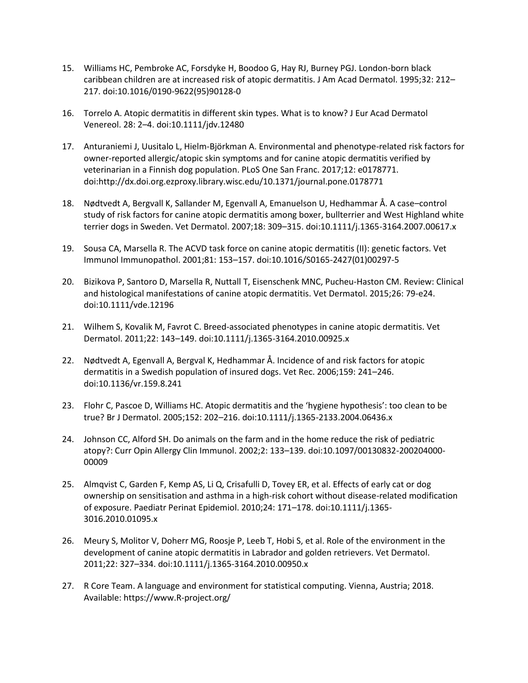- 15. Williams HC, Pembroke AC, Forsdyke H, Boodoo G, Hay RJ, Burney PGJ. London-born black caribbean children are at increased risk of atopic dermatitis. J Am Acad Dermatol. 1995;32: 212– 217. doi:10.1016/0190-9622(95)90128-0
- 16. Torrelo A. Atopic dermatitis in different skin types. What is to know? J Eur Acad Dermatol Venereol. 28: 2–4. doi:10.1111/jdv.12480
- 17. Anturaniemi J, Uusitalo L, Hielm-Björkman A. Environmental and phenotype-related risk factors for owner-reported allergic/atopic skin symptoms and for canine atopic dermatitis verified by veterinarian in a Finnish dog population. PLoS One San Franc. 2017;12: e0178771. doi:http://dx.doi.org.ezproxy.library.wisc.edu/10.1371/journal.pone.0178771
- 18. Nødtvedt A, Bergvall K, Sallander M, Egenvall A, Emanuelson U, Hedhammar Å. A case–control study of risk factors for canine atopic dermatitis among boxer, bullterrier and West Highland white terrier dogs in Sweden. Vet Dermatol. 2007;18: 309–315. doi:10.1111/j.1365-3164.2007.00617.x
- 19. Sousa CA, Marsella R. The ACVD task force on canine atopic dermatitis (II): genetic factors. Vet Immunol Immunopathol. 2001;81: 153–157. doi:10.1016/S0165-2427(01)00297-5
- 20. Bizikova P, Santoro D, Marsella R, Nuttall T, Eisenschenk MNC, Pucheu‐Haston CM. Review: Clinical and histological manifestations of canine atopic dermatitis. Vet Dermatol. 2015;26: 79-e24. doi:10.1111/vde.12196
- 21. Wilhem S, Kovalik M, Favrot C. Breed-associated phenotypes in canine atopic dermatitis. Vet Dermatol. 2011;22: 143–149. doi:10.1111/j.1365-3164.2010.00925.x
- 22. Nødtvedt A, Egenvall A, Bergval K, Hedhammar Å. Incidence of and risk factors for atopic dermatitis in a Swedish population of insured dogs. Vet Rec. 2006;159: 241–246. doi:10.1136/vr.159.8.241
- 23. Flohr C, Pascoe D, Williams HC. Atopic dermatitis and the 'hygiene hypothesis': too clean to be true? Br J Dermatol. 2005;152: 202–216. doi:10.1111/j.1365-2133.2004.06436.x
- 24. Johnson CC, Alford SH. Do animals on the farm and in the home reduce the risk of pediatric atopy?: Curr Opin Allergy Clin Immunol. 2002;2: 133–139. doi:10.1097/00130832-200204000- 00009
- 25. Almqvist C, Garden F, Kemp AS, Li Q, Crisafulli D, Tovey ER, et al. Effects of early cat or dog ownership on sensitisation and asthma in a high-risk cohort without disease-related modification of exposure. Paediatr Perinat Epidemiol. 2010;24: 171–178. doi:10.1111/j.1365- 3016.2010.01095.x
- 26. Meury S, Molitor V, Doherr MG, Roosje P, Leeb T, Hobi S, et al. Role of the environment in the development of canine atopic dermatitis in Labrador and golden retrievers. Vet Dermatol. 2011;22: 327–334. doi:10.1111/j.1365-3164.2010.00950.x
- 27. R Core Team. A language and environment for statistical computing. Vienna, Austria; 2018. Available: https://www.R-project.org/